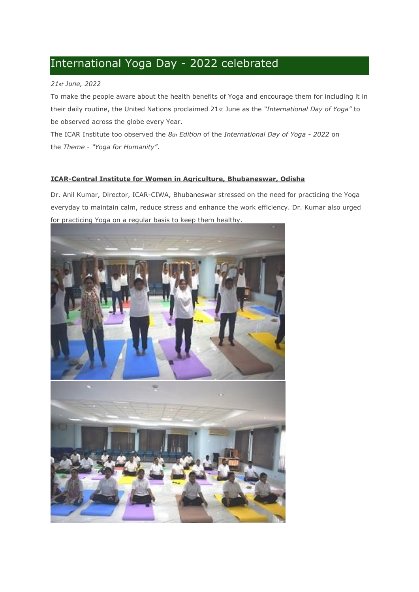# International Yoga Day - 2022 celebrated

### *21st June, 2022*

To make the people aware about the health benefits of Yoga and encourage them for including it in their daily routine, the United Nations proclaimed 21st June as the *"International Day of Yoga"* to be observed across the globe every Year.

The ICAR Institute too observed the *8th Edition* of the *International Day of Yoga - 2022* on the *Theme* - *"Yoga for Humanity"*.

#### **ICAR-Central Institute for Women in Agriculture, Bhubaneswar, Odisha**

Dr. Anil Kumar, Director, ICAR-CIWA, Bhubaneswar stressed on the need for practicing the Yoga everyday to maintain calm, reduce stress and enhance the work efficiency. Dr. Kumar also urged for practicing Yoga on a regular basis to keep them healthy.

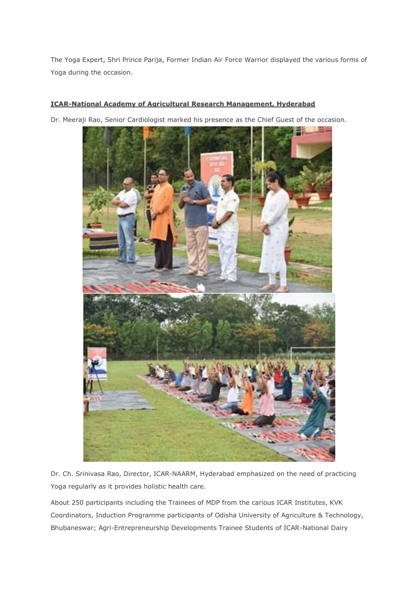The Yoga Expert, Shri Prince Parija, Former Indian Air Force Warrior displayed the various forms of Yoga during the occasion.

## **ICAR-National Academy of Agricultural Research Management, Hyderabad**

Dr. Meeraji Rao, Senior Cardiologist marked his presence as the Chief Guest of the occasion.



Dr. Ch. Srinivasa Rao, Director, ICAR-NAARM, Hyderabad emphasized on the need of practicing Yoga regularly as it provides holistic health care.

About 250 participants including the Trainees of MDP from the carious ICAR Institutes, KVK Coordinators, Induction Programme participants of Odisha University of Agriculture & Technology, Bhubaneswar; Agri-Entrepreneurship Developments Trainee Students of ICAR-National Dairy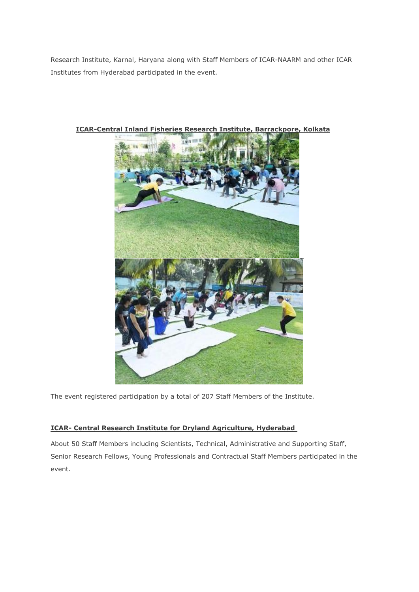Research Institute, Karnal, Haryana along with Staff Members of ICAR-NAARM and other ICAR Institutes from Hyderabad participated in the event.



**ICAR-Central Inland Fisheries Research Institute, Barrackpore, Kolkata**

The event registered participation by a total of 207 Staff Members of the Institute.

## **ICAR- Central Research Institute for Dryland Agriculture, Hyderabad**

About 50 Staff Members including Scientists, Technical, Administrative and Supporting Staff, Senior Research Fellows, Young Professionals and Contractual Staff Members participated in the event.